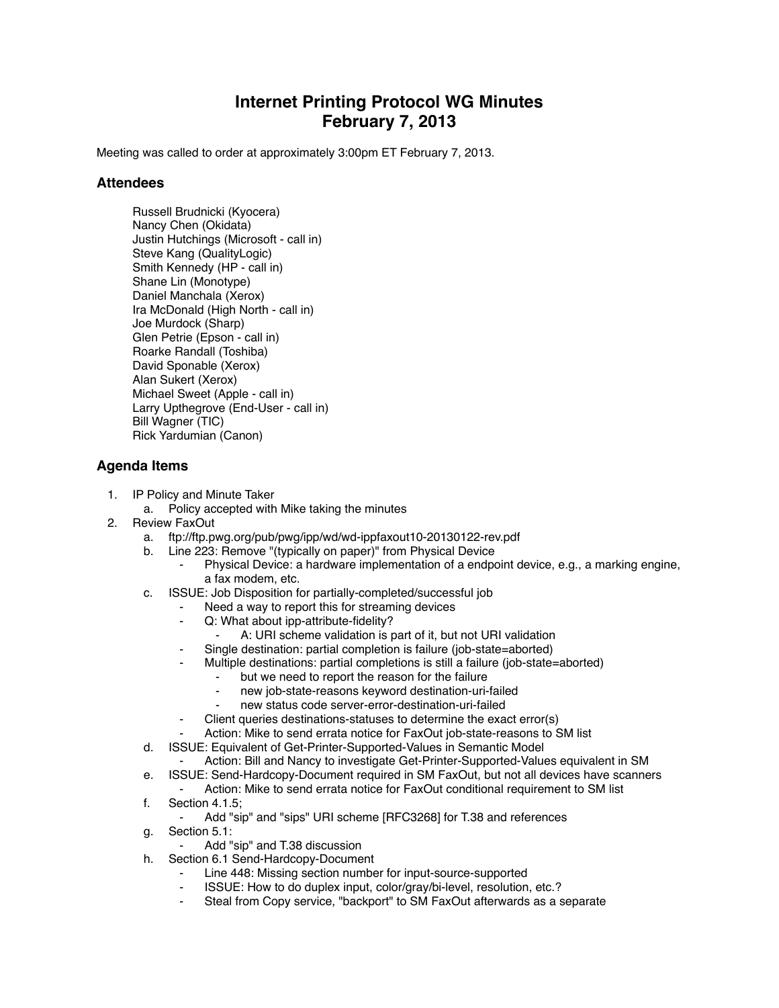## **Internet Printing Protocol WG Minutes February 7, 2013**

Meeting was called to order at approximately 3:00pm ET February 7, 2013.

## **Attendees**

Russell Brudnicki (Kyocera) Nancy Chen (Okidata) Justin Hutchings (Microsoft - call in) Steve Kang (QualityLogic) Smith Kennedy (HP - call in) Shane Lin (Monotype) Daniel Manchala (Xerox) Ira McDonald (High North - call in) Joe Murdock (Sharp) Glen Petrie (Epson - call in) Roarke Randall (Toshiba) David Sponable (Xerox) Alan Sukert (Xerox) Michael Sweet (Apple - call in) Larry Upthegrove (End-User - call in) Bill Wagner (TIC) Rick Yardumian (Canon)

## **Agenda Items**

- 1. IP Policy and Minute Taker
	- a. Policy accepted with Mike taking the minutes
- 2. Review FaxOut
	- a. ftp://ftp.pwg.org/pub/pwg/ipp/wd/wd-ippfaxout10-20130122-rev.pdf
	- b. Line 223: Remove "(typically on paper)" from Physical Device
		- Physical Device: a hardware implementation of a endpoint device, e.g., a marking engine, a fax modem, etc.
	- c. ISSUE: Job Disposition for partially-completed/successful job
		- Need a way to report this for streaming devices
		- ⁃ Q: What about ipp-attribute-fidelity?
			- A: URI scheme validation is part of it, but not URI validation
			- Single destination: partial completion is failure (job-state=aborted)
		- Multiple destinations: partial completions is still a failure (job-state=aborted)
			- but we need to report the reason for the failure
			- new job-state-reasons keyword destination-uri-failed
			- new status code server-error-destination-uri-failed
		- Client queries destinations-statuses to determine the exact error(s)
		- Action: Mike to send errata notice for FaxOut job-state-reasons to SM list
	- d. ISSUE: Equivalent of Get-Printer-Supported-Values in Semantic Model
		- Action: Bill and Nancy to investigate Get-Printer-Supported-Values equivalent in SM
	- e. ISSUE: Send-Hardcopy-Document required in SM FaxOut, but not all devices have scanners
	- ⁃ Action: Mike to send errata notice for FaxOut conditional requirement to SM list f. Section 4.1.5;
	- Add "sip" and "sips" URI scheme [RFC3268] for T.38 and references
	- g. Section 5.1:
		- Add "sip" and T.38 discussion
	- h. Section 6.1 Send-Hardcopy-Document
		- Line 448: Missing section number for input-source-supported
		- ISSUE: How to do duplex input, color/gray/bi-level, resolution, etc.?
		- ⁃ Steal from Copy service, "backport" to SM FaxOut afterwards as a separate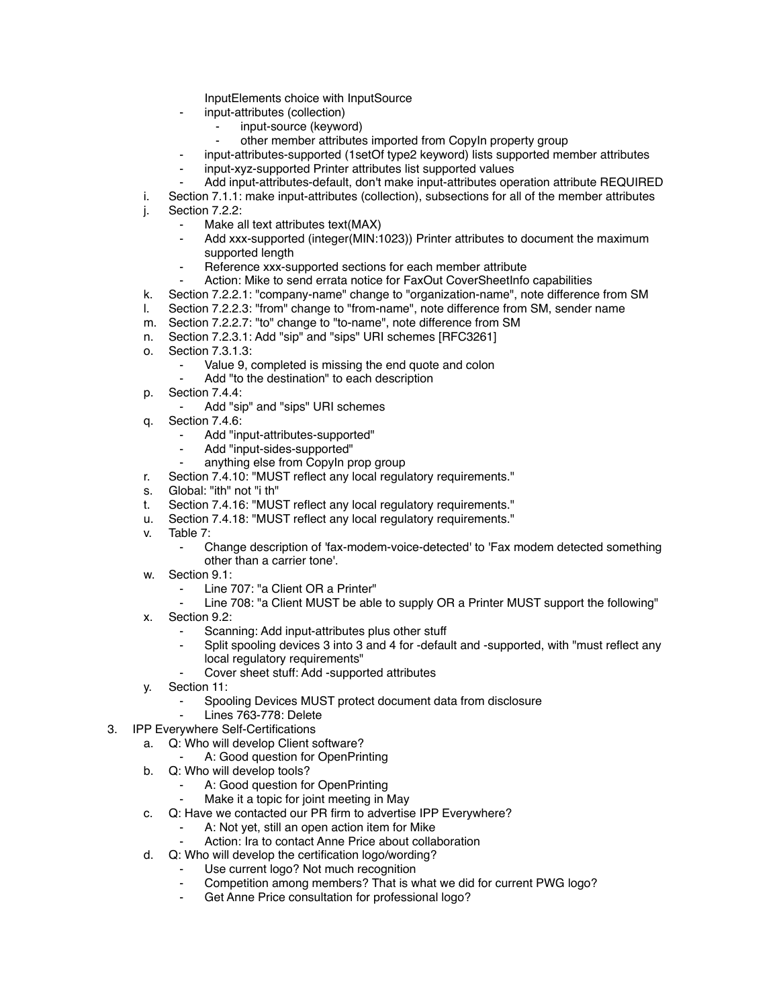InputElements choice with InputSource

- ⁃ input-attributes (collection)
	- input-source (keyword)
	- other member attributes imported from CopyIn property group
- input-attributes-supported (1setOf type2 keyword) lists supported member attributes
- input-xyz-supported Printer attributes list supported values
- Add input-attributes-default, don't make input-attributes operation attribute REQUIRED
- i. Section 7.1.1: make input-attributes (collection), subsections for all of the member attributes
- j. Section 7.2.2:
	- Make all text attributes text(MAX)
	- Add xxx-supported (integer(MIN:1023)) Printer attributes to document the maximum supported length
	- Reference xxx-supported sections for each member attribute
	- Action: Mike to send errata notice for FaxOut CoverSheetInfo capabilities
- k. Section 7.2.2.1: "company-name" change to "organization-name", note difference from SM
- l. Section 7.2.2.3: "from" change to "from-name", note difference from SM, sender name
- m. Section 7.2.2.7: "to" change to "to-name", note difference from SM
- n. Section 7.2.3.1: Add "sip" and "sips" URI schemes [RFC3261]
- o. Section 7.3.1.3:
	- Value 9, completed is missing the end quote and colon
	- Add "to the destination" to each description
- p. Section 7.4.4:
	- Add "sip" and "sips" URI schemes
- q. Section 7.4.6:
	- Add "input-attributes-supported"
	- Add "input-sides-supported"
	- anything else from CopyIn prop group
- r. Section 7.4.10: "MUST reflect any local regulatory requirements."
- s. Global: "ith" not "i th"
- t. Section 7.4.16: "MUST reflect any local regulatory requirements."
- u. Section 7.4.18: "MUST reflect any local regulatory requirements."
- v. Table 7:
	- Change description of 'fax-modem-voice-detected' to 'Fax modem detected something other than a carrier tone'.
- w. Section 9.1:
	- Line 707: "a Client OR a Printer"
	- Line 708: "a Client MUST be able to supply OR a Printer MUST support the following"
- x. Section 9.2:
	- Scanning: Add input-attributes plus other stuff
	- Split spooling devices 3 into 3 and 4 for -default and -supported, with "must reflect any local regulatory requirements"
	- ⁃ Cover sheet stuff: Add -supported attributes
- y. Section 11:
	- ⁃ Spooling Devices MUST protect document data from disclosure
- Lines 763-778: Delete
- 3. IPP Everywhere Self-Certifications
	- a. Q: Who will develop Client software?
		- A: Good question for OpenPrinting
	- b. Q: Who will develop tools?
		- A: Good question for OpenPrinting
		- Make it a topic for joint meeting in May
	- c. Q: Have we contacted our PR firm to advertise IPP Everywhere?
		- A: Not yet, still an open action item for Mike
		- Action: Ira to contact Anne Price about collaboration
	- d. Q: Who will develop the certification logo/wording?
		- Use current logo? Not much recognition
		- Competition among members? That is what we did for current PWG logo?
		- Get Anne Price consultation for professional logo?